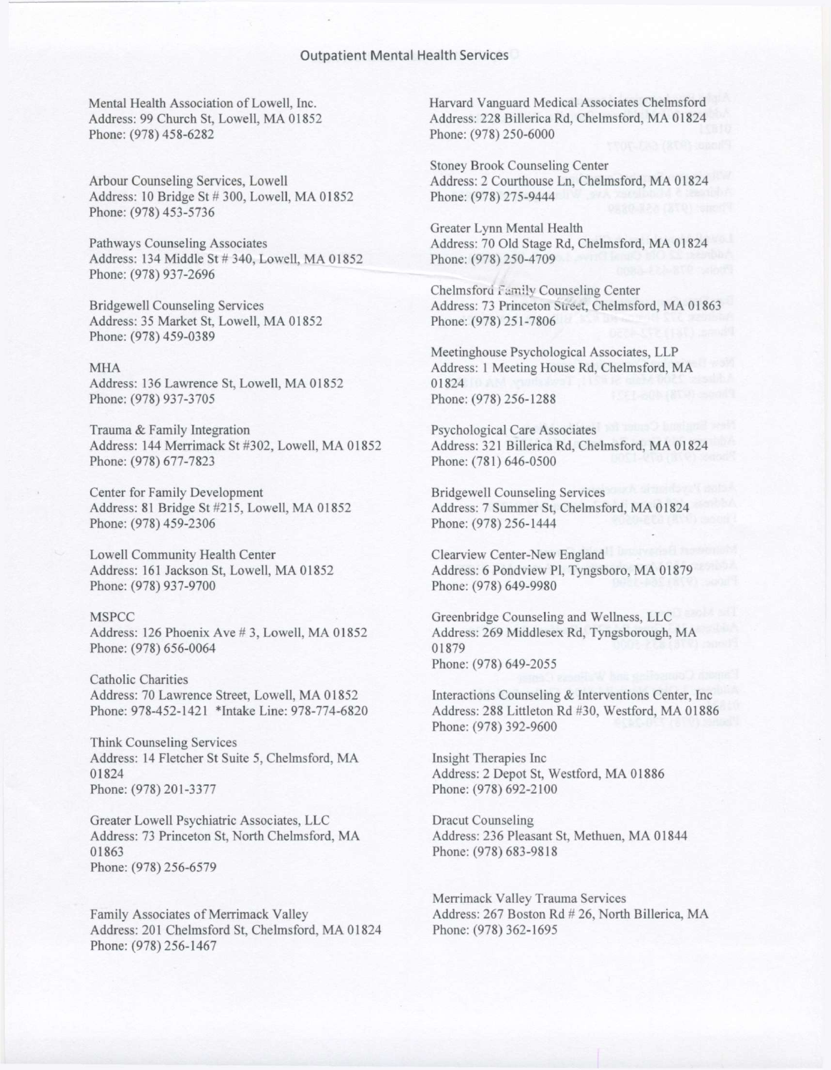Mental Health Association of Lowell, Inc. Address: 99 Church St, Lowell, MA 01852 Phone: (978) 458-6282

Arbour Counseling Services, Lowell Address: 10 Bridge St # 300, Lowell, MA 01852 Phone: (978) 453-5736

Pathways Counseling Associates Address: 134 Middle St # 340, Lowell, MA 01852 Phone: (978) 937-2696

Bridgewell Counseling Services Address: 35 Market St, Lowell, MA 01852 Phone: (978) 459-0389

MHA Address: 136 Lawrence St, Lowell, MA 01852 Phone: (978) 937-3705

Trauma & Family Integration Address: 144 Merrimack St #302, Lowell, MA 01852 Phone: (978) 677-7823

Center for Family Development Address: 81 Bridge St #215, Lowell, MA 01852 Phone: (978) 459-2306

Lowell Community Health Center Address: 161 Jackson St, Lowell, MA 01852 Phone: (978) 937-9700

## MSPCC

Address: 126 Phoenix Ave # 3, Lowell, MA 01852 Phone: (978) 656-0064

Catholic Charities Address: 70 Lawrence Street, Lowell, MA 01852 Phone: 978-452-1421 \*Intake Line: 978-774-6820

Think Counseling Services Address: 14 Fletcher St Suite 5, Chelmsford, MA 01824 Phone: (978) 201-3377

Greater Lowell Psychiatric Associates, LLC Address: 73 Princeton St, North Chelmsford, MA 01863 Phone: (978) 256-6579

Family Associates of Merrimack Valley Address: 201 Chelmsford St, Chelmsford, MA 01824 Phone: (978) 256-1467

Harvard Vanguard Medical Associates Chelmsford Address: 228 Billerica Rd, Chelmsford, MA 01824 Phone: (978) 250-6000

Stoney Brook Counseling Center Address: 2 Courthouse Ln, Chelmsford, MA 01824 Phone: (978) 275-9444

Greater Lynn Mental Health Address: 70 Old Stage Rd, Chelmsford, MA 01824 Phone: (978) 250-4709

Chelmsford Family Counseling Center Address: 73 Princeton Street, Chelmsford, MA 01863 Phone: (978) 251-7806

Meetinghouse Psychological Associates, LLP Address: 1 Meeting House Rd, Chelmsford, MA 01824 Phone: (978) 256-1288

Psychological Care Associates Address: 321 Billerica Rd, Chelmsford, MA 01824 Phone: (781) 646-0500

Bridgewell Counseling Services Address: 7 Summer St, Chelmsford, MA 01824 Phone: (978) 256-1444

Clearview Center-New England Address: 6 Pondview PI, Tyngsboro, MA 01879 Phone: (978) 649-9980

Greenbridge Counseling and Wellness, LLC Address: 269 Middlesex Rd, Tyngsborough, MA 01879 Phone: (978) 649-2055

Interactions Counseling & Interventions Center, Inc Address: 288 Littleton Rd #30, Westford, MA 01886 Phone: (978) 392-9600

Insight Therapies Inc Address: 2 Depot St, Westford, MA 01886 Phone: (978) 692-2100

Dracut Counseling Address: 236 Pleasant St, Methuen, MA 01844 Phone: (978) 683-9818

Merrimack Valley Trauma Services Address: 267 Boston Rd # 26, North Billerica, MA Phone: (978) 362-1695